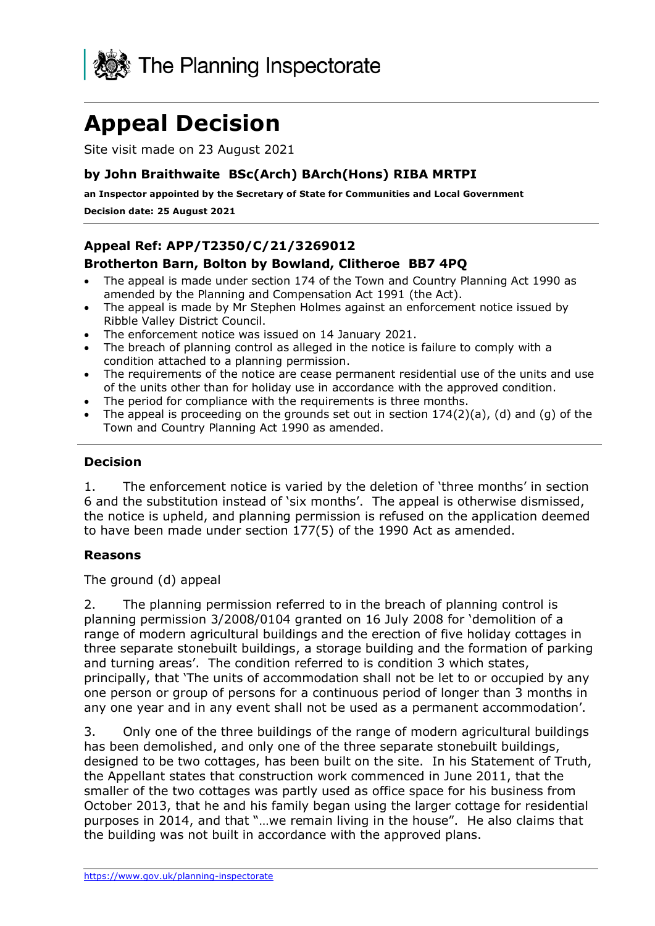

# **Appeal Decision**

Site visit made on 23 August 2021

### **by John Braithwaite BSc(Arch) BArch(Hons) RIBA MRTPI**

**an Inspector appointed by the Secretary of State for Communities and Local Government**

**Decision date: 25 August 2021**

## **Appeal Ref: APP/T2350/C/21/3269012**

#### **Brotherton Barn, Bolton by Bowland, Clitheroe BB7 4PQ**

- The appeal is made under section 174 of the Town and Country Planning Act 1990 as amended by the Planning and Compensation Act 1991 (the Act).
- The appeal is made by Mr Stephen Holmes against an enforcement notice issued by Ribble Valley District Council.
- The enforcement notice was issued on 14 January 2021.
- The breach of planning control as alleged in the notice is failure to comply with a condition attached to a planning permission.
- The requirements of the notice are cease permanent residential use of the units and use of the units other than for holiday use in accordance with the approved condition.
- The period for compliance with the requirements is three months.
- The appeal is proceeding on the grounds set out in section  $174(2)(a)$ , (d) and (g) of the Town and Country Planning Act 1990 as amended.

#### **Decision**

1. The enforcement notice is varied by the deletion of 'three months' in section 6 and the substitution instead of 'six months'. The appeal is otherwise dismissed, the notice is upheld, and planning permission is refused on the application deemed to have been made under section 177(5) of the 1990 Act as amended.

#### **Reasons**

The ground (d) appeal

2. The planning permission referred to in the breach of planning control is planning permission 3/2008/0104 granted on 16 July 2008 for 'demolition of a range of modern agricultural buildings and the erection of five holiday cottages in three separate stonebuilt buildings, a storage building and the formation of parking and turning areas'. The condition referred to is condition 3 which states, principally, that 'The units of accommodation shall not be let to or occupied by any one person or group of persons for a continuous period of longer than 3 months in any one year and in any event shall not be used as a permanent accommodation'.

3. Only one of the three buildings of the range of modern agricultural buildings has been demolished, and only one of the three separate stonebuilt buildings, designed to be two cottages, has been built on the site. In his Statement of Truth, the Appellant states that construction work commenced in June 2011, that the smaller of the two cottages was partly used as office space for his business from October 2013, that he and his family began using the larger cottage for residential purposes in 2014, and that "…we remain living in the house". He also claims that the building was not built in accordance with the approved plans.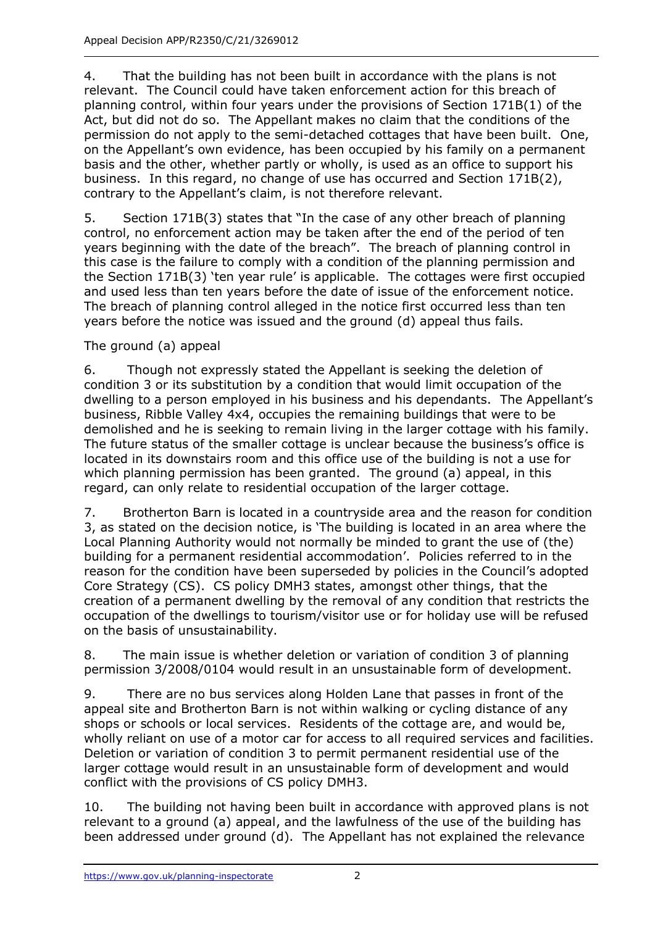4. That the building has not been built in accordance with the plans is not relevant. The Council could have taken enforcement action for this breach of planning control, within four years under the provisions of Section 171B(1) of the Act, but did not do so. The Appellant makes no claim that the conditions of the permission do not apply to the semi-detached cottages that have been built. One, on the Appellant's own evidence, has been occupied by his family on a permanent basis and the other, whether partly or wholly, is used as an office to support his business. In this regard, no change of use has occurred and Section 171B(2), contrary to the Appellant's claim, is not therefore relevant.

5. Section 171B(3) states that "In the case of any other breach of planning control, no enforcement action may be taken after the end of the period of ten years beginning with the date of the breach". The breach of planning control in this case is the failure to comply with a condition of the planning permission and the Section 171B(3) 'ten year rule' is applicable. The cottages were first occupied and used less than ten years before the date of issue of the enforcement notice. The breach of planning control alleged in the notice first occurred less than ten years before the notice was issued and the ground (d) appeal thus fails.

# The ground (a) appeal

6. Though not expressly stated the Appellant is seeking the deletion of condition 3 or its substitution by a condition that would limit occupation of the dwelling to a person employed in his business and his dependants. The Appellant's business, Ribble Valley 4x4, occupies the remaining buildings that were to be demolished and he is seeking to remain living in the larger cottage with his family. The future status of the smaller cottage is unclear because the business's office is located in its downstairs room and this office use of the building is not a use for which planning permission has been granted. The ground (a) appeal, in this regard, can only relate to residential occupation of the larger cottage.

7. Brotherton Barn is located in a countryside area and the reason for condition 3, as stated on the decision notice, is 'The building is located in an area where the Local Planning Authority would not normally be minded to grant the use of (the) building for a permanent residential accommodation'. Policies referred to in the reason for the condition have been superseded by policies in the Council's adopted Core Strategy (CS). CS policy DMH3 states, amongst other things, that the creation of a permanent dwelling by the removal of any condition that restricts the occupation of the dwellings to tourism/visitor use or for holiday use will be refused on the basis of unsustainability.

8. The main issue is whether deletion or variation of condition 3 of planning permission 3/2008/0104 would result in an unsustainable form of development.

9. There are no bus services along Holden Lane that passes in front of the appeal site and Brotherton Barn is not within walking or cycling distance of any shops or schools or local services. Residents of the cottage are, and would be, wholly reliant on use of a motor car for access to all required services and facilities. Deletion or variation of condition 3 to permit permanent residential use of the larger cottage would result in an unsustainable form of development and would conflict with the provisions of CS policy DMH3.

10. The building not having been built in accordance with approved plans is not relevant to a ground (a) appeal, and the lawfulness of the use of the building has been addressed under ground (d). The Appellant has not explained the relevance